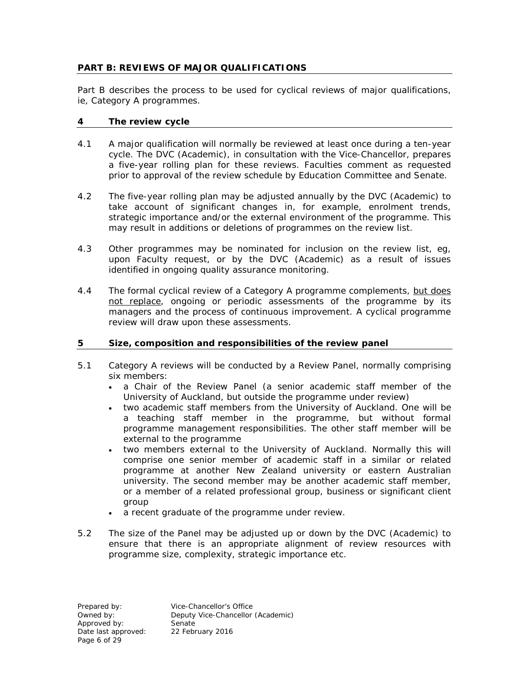## **PART B: REVIEWS OF MAJOR QUALIFICATIONS**

Part B describes the process to be used for cyclical reviews of major qualifications, ie, Category A programmes.

#### **4 The review cycle**

- 4.1 A major qualification will normally be reviewed at least once during a ten-year cycle. The DVC (Academic), in consultation with the Vice-Chancellor, prepares a five-year rolling plan for these reviews. Faculties comment as requested prior to approval of the review schedule by Education Committee and Senate.
- 4.2 The five-year rolling plan may be adjusted annually by the DVC (Academic) to take account of significant changes in, for example, enrolment trends, strategic importance and/or the external environment of the programme. This may result in additions or deletions of programmes on the review list.
- 4.3 Other programmes may be nominated for inclusion on the review list, eg, upon Faculty request, or by the DVC (Academic) as a result of issues identified in ongoing quality assurance monitoring.
- 4.4 The formal cyclical review of a Category A programme complements, but does not replace, ongoing or periodic assessments of the programme by its managers and the process of continuous improvement. A cyclical programme review will draw upon these assessments.

## **5 Size, composition and responsibilities of the review panel**

- 5.1 Category A reviews will be conducted by a Review Panel, normally comprising six members:
	- a Chair of the Review Panel (a senior academic staff member of the University of Auckland, but outside the programme under review)
	- two academic staff members from the University of Auckland. One will be a teaching staff member in the programme, but without formal programme management responsibilities. The other staff member will be external to the programme
	- two members external to the University of Auckland. Normally this will comprise one senior member of academic staff in a similar or related programme at another New Zealand university or eastern Australian university. The second member may be another academic staff member, or a member of a related professional group, business or significant client group
	- a recent graduate of the programme under review.
- 5.2 The size of the Panel may be adjusted up or down by the DVC (Academic) to ensure that there is an appropriate alignment of review resources with programme size, complexity, strategic importance etc.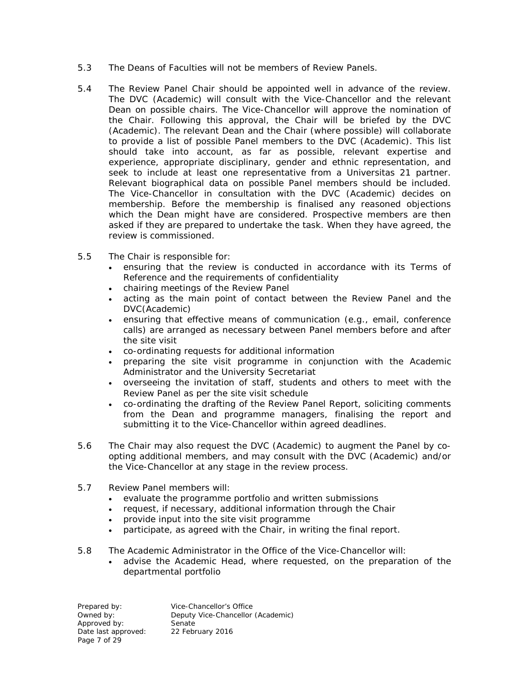- 5.3 The Deans of Faculties will not be members of Review Panels.
- 5.4 The Review Panel Chair should be appointed well in advance of the review. The DVC (Academic) will consult with the Vice-Chancellor and the relevant Dean on possible chairs. The Vice-Chancellor will approve the nomination of the Chair. Following this approval, the Chair will be briefed by the DVC (Academic). The relevant Dean and the Chair (where possible) will collaborate to provide a list of possible Panel members to the DVC (Academic). This list should take into account, as far as possible, relevant expertise and experience, appropriate disciplinary, gender and ethnic representation, and seek to include at least one representative from a *Universitas 21* partner. Relevant biographical data on possible Panel members should be included. The Vice-Chancellor in consultation with the DVC (Academic) decides on membership. Before the membership is finalised any reasoned objections which the Dean might have are considered. Prospective members are then asked if they are prepared to undertake the task. When they have agreed, the review is commissioned.
- 5.5 The Chair is responsible for:
	- ensuring that the review is conducted in accordance with its Terms of Reference and the requirements of confidentiality
	- chairing meetings of the Review Panel
	- acting as the main point of contact between the Review Panel and the DVC(Academic)
	- ensuring that effective means of communication (e.g., email, conference calls) are arranged as necessary between Panel members before and after the site visit
	- co-ordinating requests for additional information
	- preparing the site visit programme in conjunction with the Academic Administrator and the University Secretariat
	- overseeing the invitation of staff, students and others to meet with the Review Panel as per the site visit schedule
	- co-ordinating the drafting of the Review Panel Report, soliciting comments from the Dean and programme managers, finalising the report and submitting it to the Vice-Chancellor within agreed deadlines.
- 5.6 The Chair may also request the DVC (Academic) to augment the Panel by coopting additional members, and may consult with the DVC (Academic) and/or the Vice-Chancellor at any stage in the review process.
- 5.7 Review Panel members will:
	- evaluate the programme portfolio and written submissions
	- request, if necessary, additional information through the Chair
	- provide input into the site visit programme
	- participate, as agreed with the Chair, in writing the final report.
- 5.8 The Academic Administrator in the Office of the Vice-Chancellor will:
	- advise the Academic Head, where requested, on the preparation of the departmental portfolio

Prepared by: Vice-Chancellor's Office<br>
Owned by: Deputy Vice-Chancellor Deputy Vice-Chancellor (Academic)<br>Senate Approved by:<br>
Date last approved: 22 February 2016 Date last approved: Page 7 of 29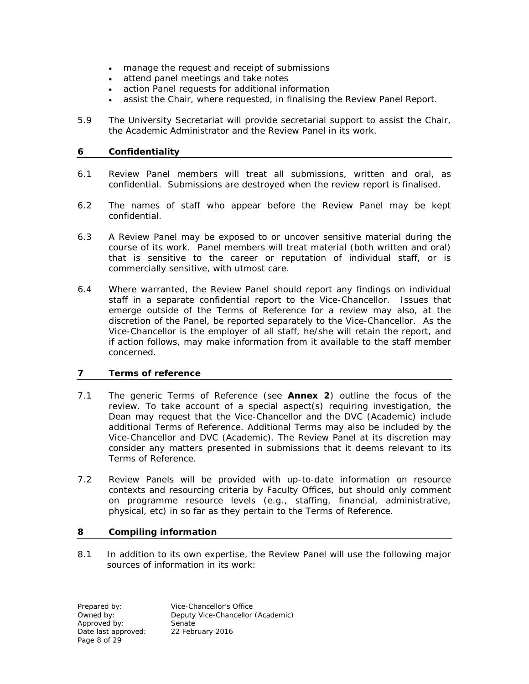- manage the request and receipt of submissions
- attend panel meetings and take notes
- action Panel requests for additional information
- assist the Chair, where requested, in finalising the Review Panel Report.
- 5.9 The University Secretariat will provide secretarial support to assist the Chair, the Academic Administrator and the Review Panel in its work.

## **6 Confidentiality**

- 6.1 Review Panel members will treat all submissions, written and oral, as confidential. Submissions are destroyed when the review report is finalised.
- 6.2 The names of staff who appear before the Review Panel may be kept confidential.
- 6.3 A Review Panel may be exposed to or uncover sensitive material during the course of its work. Panel members will treat material (both written and oral) that is sensitive to the career or reputation of individual staff, or is commercially sensitive, with utmost care.
- 6.4 Where warranted, the Review Panel should report any findings on individual staff in a separate confidential report to the Vice-Chancellor. Issues that emerge outside of the Terms of Reference for a review may also, at the discretion of the Panel, be reported separately to the Vice-Chancellor. As the Vice-Chancellor is the employer of all staff, he/she will retain the report, and if action follows, may make information from it available to the staff member concerned.

## **7 Terms of reference**

- 7.1 The generic Terms of Reference (see **Annex 2**) outline the focus of the review. To take account of a special aspect(s) requiring investigation, the Dean may request that the Vice-Chancellor and the DVC (Academic) include additional Terms of Reference. Additional Terms may also be included by the Vice-Chancellor and DVC (Academic). The Review Panel at its discretion may consider any matters presented in submissions that it deems relevant to its Terms of Reference.
- 7.2 Review Panels will be provided with up-to-date information on resource contexts and resourcing criteria by Faculty Offices, but should only comment on programme resource levels (e.g., staffing, financial, administrative, physical, etc) in so far as they pertain to the Terms of Reference.

## **8 Compiling information**

8.1 In addition to its own expertise, the Review Panel will use the following major sources of information in its work:

Prepared by: <br>
Deputy Vice-Chancellor<br>
Deputy Vice-Chancellor Deputy Vice-Chancellor (Academic)<br>Senate Approved by: Senate<br>Date last approved: 22 February 2016 Date last approved: Page 8 of 29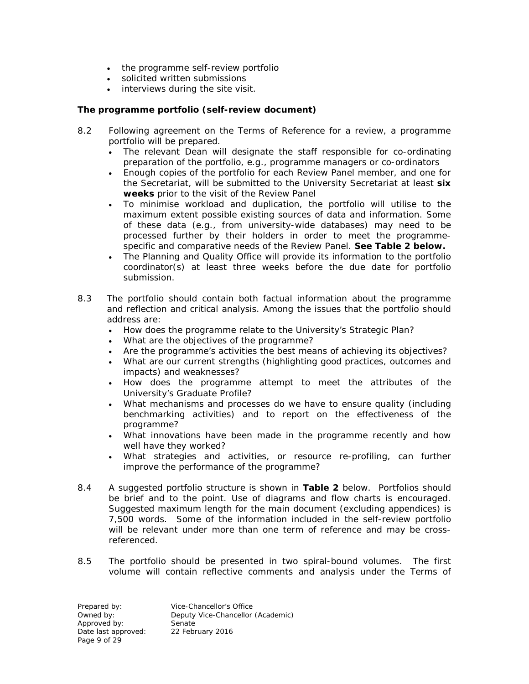- the programme self-review portfolio
- solicited written submissions
- interviews during the site visit.

## *The programme portfolio (self-review document)*

- 8.2 Following agreement on the Terms of Reference for a review, a programme portfolio will be prepared.
	- The relevant Dean will designate the staff responsible for co-ordinating preparation of the portfolio, e.g., programme managers or co-ordinators
	- Enough copies of the portfolio for each Review Panel member, and one for the Secretariat, will be submitted to the University Secretariat at least **six weeks** prior to the visit of the Review Panel
	- To minimise workload and duplication, the portfolio will utilise to the maximum extent possible existing sources of data and information. Some of these data (e.g., from university-wide databases) may need to be processed further by their holders in order to meet the programmespecific and comparative needs of the Review Panel. **See Table 2 below.**
	- The Planning and Quality Office will provide its information to the portfolio coordinator(s) at least three weeks before the due date for portfolio submission.
- 8.3 The portfolio should contain both factual information about the programme and reflection and critical analysis. Among the issues that the portfolio should address are:
	- How does the programme relate to the University's Strategic Plan?
	- What are the objectives of the programme?
	- Are the programme's activities the best means of achieving its objectives?
	- What are our current strengths (highlighting good practices, outcomes and impacts) and weaknesses?
	- How does the programme attempt to meet the attributes of the University's Graduate Profile?
	- What mechanisms and processes do we have to ensure quality (including benchmarking activities) and to report on the effectiveness of the programme?
	- What innovations have been made in the programme recently and how well have they worked?
	- What strategies and activities, or resource re-profiling, can further improve the performance of the programme?
- 8.4 A suggested portfolio structure is shown in **Table 2** below. Portfolios should be brief and to the point. Use of diagrams and flow charts is encouraged. Suggested maximum length for the main document (excluding appendices) is 7,500 words. Some of the information included in the self-review portfolio will be relevant under more than one term of reference and may be crossreferenced.
- 8.5 The portfolio should be presented in two spiral-bound volumes. The first volume will contain reflective comments and analysis under the Terms of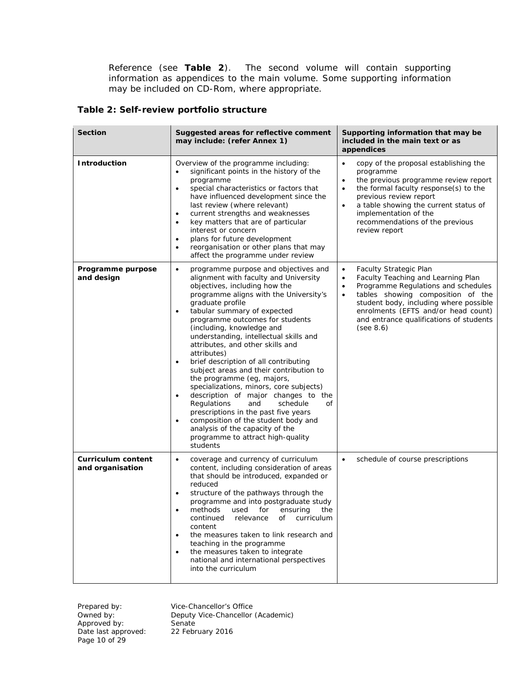Reference (see **Table 2**). The second volume will contain supporting information as appendices to the main volume. Some supporting information may be included on CD-Rom, where appropriate.

### **Table 2: Self-review portfolio structure**

| <b>Section</b>                                | Suggested areas for reflective comment<br>may include: (refer Annex 1)                                                                                                                                                                                                                                                                                                                                                                                                                                                                                                                                                                                                                                                                                                                                                                                   | Supporting information that may be<br>included in the main text or as<br>appendices                                                                                                                                                                                                                                                  |  |
|-----------------------------------------------|----------------------------------------------------------------------------------------------------------------------------------------------------------------------------------------------------------------------------------------------------------------------------------------------------------------------------------------------------------------------------------------------------------------------------------------------------------------------------------------------------------------------------------------------------------------------------------------------------------------------------------------------------------------------------------------------------------------------------------------------------------------------------------------------------------------------------------------------------------|--------------------------------------------------------------------------------------------------------------------------------------------------------------------------------------------------------------------------------------------------------------------------------------------------------------------------------------|--|
| <b>Introduction</b>                           | Overview of the programme including:<br>significant points in the history of the<br>$\bullet$<br>programme<br>special characteristics or factors that<br>$\bullet$<br>have influenced development since the<br>last review (where relevant)<br>current strengths and weaknesses<br>$\bullet$<br>key matters that are of particular<br>$\bullet$<br>interest or concern<br>plans for future development<br>$\bullet$<br>reorganisation or other plans that may<br>$\bullet$<br>affect the programme under review                                                                                                                                                                                                                                                                                                                                          | copy of the proposal establishing the<br>٠<br>programme<br>the previous programme review report<br>$\bullet$<br>the formal faculty response(s) to the<br>$\bullet$<br>previous review report<br>a table showing the current status of<br>implementation of the<br>recommendations of the previous<br>review report                   |  |
| Programme purpose<br>and design               | programme purpose and objectives and<br>$\bullet$<br>alignment with faculty and University<br>objectives, including how the<br>programme aligns with the University's<br>graduate profile<br>tabular summary of expected<br>$\bullet$<br>programme outcomes for students<br>(including, knowledge and<br>understanding, intellectual skills and<br>attributes, and other skills and<br>attributes)<br>brief description of all contributing<br>$\bullet$<br>subject areas and their contribution to<br>the programme (eg, majors,<br>specializations, minors, core subjects)<br>description of major changes to the<br>$\bullet$<br>Regulations<br>and<br>schedule<br>οf<br>prescriptions in the past five years<br>composition of the student body and<br>$\bullet$<br>analysis of the capacity of the<br>programme to attract high-quality<br>students | <b>Faculty Strategic Plan</b><br>$\bullet$<br>Faculty Teaching and Learning Plan<br>$\bullet$<br>Programme Regulations and schedules<br>٠<br>tables showing composition of the<br>$\bullet$<br>student body, including where possible<br>enrolments (EFTS and/or head count)<br>and entrance qualifications of students<br>(see 8.6) |  |
| <b>Curriculum content</b><br>and organisation | coverage and currency of curriculum<br>$\bullet$<br>content, including consideration of areas<br>that should be introduced, expanded or<br>reduced<br>structure of the pathways through the<br>$\bullet$<br>programme and into postgraduate study<br>methods used for ensuring the<br>continued relevance of curriculum<br>content<br>the measures taken to link research and<br>$\bullet$<br>teaching in the programme<br>the measures taken to integrate<br>$\bullet$<br>national and international perspectives<br>into the curriculum                                                                                                                                                                                                                                                                                                                | schedule of course prescriptions<br>$\bullet$                                                                                                                                                                                                                                                                                        |  |

Approved by: Senate Date last approved: 22 February 2016 Page 10 of 29

Prepared by: Vice-Chancellor's Office Deputy Vice-Chancellor (Academic)<br>Senate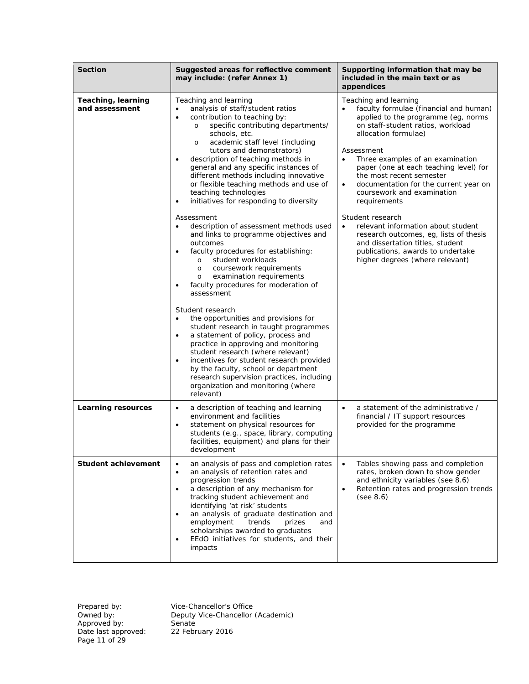| <b>Section</b>                       | Suggested areas for reflective comment<br>may include: (refer Annex 1)                                                                                                                                                                                                                                                                                                                                                                                                                                                                                                                                                                                                                                                                                                                                                                                                                                                                                                                                                                                                                                                                                                                                                                                                                                                                               | Supporting information that may be<br>included in the main text or as<br>appendices                                                                                                                                                                                                                                                                                                                                                                                                                                                                                                                                                       |  |
|--------------------------------------|------------------------------------------------------------------------------------------------------------------------------------------------------------------------------------------------------------------------------------------------------------------------------------------------------------------------------------------------------------------------------------------------------------------------------------------------------------------------------------------------------------------------------------------------------------------------------------------------------------------------------------------------------------------------------------------------------------------------------------------------------------------------------------------------------------------------------------------------------------------------------------------------------------------------------------------------------------------------------------------------------------------------------------------------------------------------------------------------------------------------------------------------------------------------------------------------------------------------------------------------------------------------------------------------------------------------------------------------------|-------------------------------------------------------------------------------------------------------------------------------------------------------------------------------------------------------------------------------------------------------------------------------------------------------------------------------------------------------------------------------------------------------------------------------------------------------------------------------------------------------------------------------------------------------------------------------------------------------------------------------------------|--|
| Teaching, learning<br>and assessment | Teaching and learning<br>analysis of staff/student ratios<br>$\bullet$<br>contribution to teaching by:<br>$\bullet$<br>specific contributing departments/<br>$\circ$<br>schools, etc.<br>academic staff level (including<br>$\circ$<br>tutors and demonstrators)<br>description of teaching methods in<br>$\bullet$<br>general and any specific instances of<br>different methods including innovative<br>or flexible teaching methods and use of<br>teaching technologies<br>initiatives for responding to diversity<br>$\bullet$<br>Assessment<br>description of assessment methods used<br>$\bullet$<br>and links to programme objectives and<br>outcomes<br>faculty procedures for establishing:<br>$\bullet$<br>student workloads<br>$\circ$<br>coursework requirements<br>$\circ$<br>examination requirements<br>$\circ$<br>faculty procedures for moderation of<br>$\bullet$<br>assessment<br>Student research<br>the opportunities and provisions for<br>$\bullet$<br>student research in taught programmes<br>a statement of policy, process and<br>$\bullet$<br>practice in approving and monitoring<br>student research (where relevant)<br>incentives for student research provided<br>$\bullet$<br>by the faculty, school or department<br>research supervision practices, including<br>organization and monitoring (where<br>relevant) | Teaching and learning<br>faculty formulae (financial and human)<br>applied to the programme (eg, norms<br>on staff-student ratios, workload<br>allocation formulae)<br>Assessment<br>Three examples of an examination<br>$\bullet$<br>paper (one at each teaching level) for<br>the most recent semester<br>documentation for the current year on<br>$\bullet$<br>coursework and examination<br>requirements<br>Student research<br>relevant information about student<br>$\bullet$<br>research outcomes, eg, lists of thesis<br>and dissertation titles, student<br>publications, awards to undertake<br>higher degrees (where relevant) |  |
| <b>Learning resources</b>            | a description of teaching and learning<br>$\bullet$<br>environment and facilities<br>statement on physical resources for<br>$\bullet$<br>students (e.g., space, library, computing<br>facilities, equipment) and plans for their<br>development                                                                                                                                                                                                                                                                                                                                                                                                                                                                                                                                                                                                                                                                                                                                                                                                                                                                                                                                                                                                                                                                                                      | a statement of the administrative /<br>$\bullet$<br>financial / IT support resources<br>provided for the programme                                                                                                                                                                                                                                                                                                                                                                                                                                                                                                                        |  |
| <b>Student achievement</b>           | Tables showing pass and completion<br>an analysis of pass and completion rates<br>$\bullet$<br>$\bullet$<br>an analysis of retention rates and<br>rates, broken down to show gender<br>$\bullet$<br>progression trends<br>and ethnicity variables (see 8.6)<br>a description of any mechanism for<br>Retention rates and progression trends<br>$\bullet$<br>$\bullet$<br>tracking student achievement and<br>(see 8.6)<br>identifying 'at risk' students<br>an analysis of graduate destination and<br>$\bullet$<br>employment<br>trends<br>prizes<br>and<br>scholarships awarded to graduates<br>EEdO initiatives for students, and their<br>$\bullet$<br>impacts                                                                                                                                                                                                                                                                                                                                                                                                                                                                                                                                                                                                                                                                                   |                                                                                                                                                                                                                                                                                                                                                                                                                                                                                                                                                                                                                                           |  |

Approved by: Senate Date last approved: 22 February 2016 Page 11 of 29

Prepared by: Vice-Chancellor's Office Owned by: Deputy Vice-Chancellor (Academic)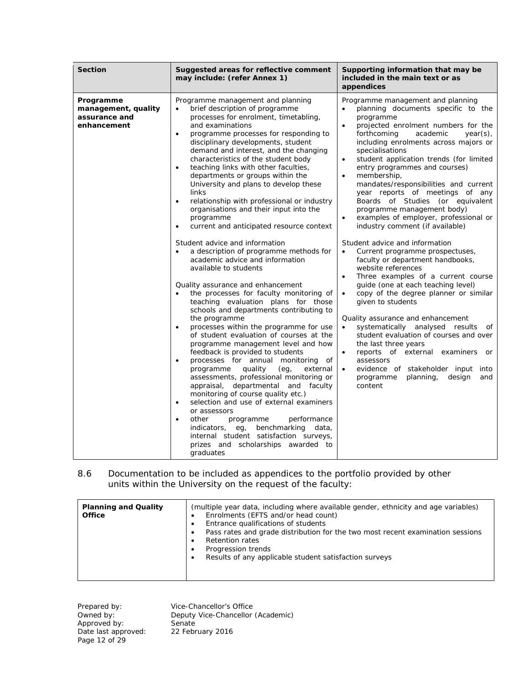| Programme management and planning<br>Programme<br>Programme management and planning                                                                                                                                                                                                                                                                                                                                                                                                                                                                                                                                                                                                                                                                                                                                                                                                                                                                                                                                                                                                                                                                                                                                                                                                                                                                                                                                                                                                                                                                                                                                                                                                                                                                                                                                                                                                                                                                                                                                                                                                                                                                                                                                                                                                                                                                                                                                                                                                                                                                                                                                                                                                                                                                                                                       |                             |
|-----------------------------------------------------------------------------------------------------------------------------------------------------------------------------------------------------------------------------------------------------------------------------------------------------------------------------------------------------------------------------------------------------------------------------------------------------------------------------------------------------------------------------------------------------------------------------------------------------------------------------------------------------------------------------------------------------------------------------------------------------------------------------------------------------------------------------------------------------------------------------------------------------------------------------------------------------------------------------------------------------------------------------------------------------------------------------------------------------------------------------------------------------------------------------------------------------------------------------------------------------------------------------------------------------------------------------------------------------------------------------------------------------------------------------------------------------------------------------------------------------------------------------------------------------------------------------------------------------------------------------------------------------------------------------------------------------------------------------------------------------------------------------------------------------------------------------------------------------------------------------------------------------------------------------------------------------------------------------------------------------------------------------------------------------------------------------------------------------------------------------------------------------------------------------------------------------------------------------------------------------------------------------------------------------------------------------------------------------------------------------------------------------------------------------------------------------------------------------------------------------------------------------------------------------------------------------------------------------------------------------------------------------------------------------------------------------------------------------------------------------------------------------------------------------------|-----------------------------|
| brief description of programme<br>management, quality<br>planning documents specific to the<br>assurance and<br>processes for enrolment, timetabling,<br>programme<br>and examinations<br>projected enrolment numbers for the<br>enhancement<br>$\bullet$<br>programme processes for responding to<br>forthcoming<br>academic<br>$\bullet$<br>including enrolments across majors or<br>disciplinary developments, student<br>demand and interest, and the changing<br>specialisations<br>characteristics of the student body<br>student application trends (for limited<br>$\bullet$<br>teaching links with other faculties,<br>entry programmes and courses)<br>$\bullet$<br>departments or groups within the<br>membership,<br>$\bullet$<br>University and plans to develop these<br>mandates/responsibilities and current<br>links<br>year reports of meetings of any<br>Boards of Studies (or equivalent<br>relationship with professional or industry<br>$\bullet$<br>organisations and their input into the<br>programme management body)<br>examples of employer, professional or<br>programme<br>$\bullet$<br>industry comment (if available)<br>current and anticipated resource context<br>$\bullet$<br>Student advice and information<br>Student advice and information<br>a description of programme methods for<br>Current programme prospectuses,<br>academic advice and information<br>faculty or department handbooks,<br>available to students<br>website references<br>Three examples of a current course<br>$\bullet$<br>guide (one at each teaching level)<br>Quality assurance and enhancement<br>the processes for faculty monitoring of<br>copy of the degree planner or similar<br>teaching evaluation plans for those<br>given to students<br>schools and departments contributing to<br>the programme<br>Quality assurance and enhancement<br>processes within the programme for use<br>$\bullet$<br>systematically analysed results<br>$\bullet$<br>of student evaluation of courses at the<br>student evaluation of courses and over<br>programme management level and how<br>the last three years<br>feedback is provided to students<br>reports of external examiners<br>$\bullet$<br>processes for annual monitoring of<br>$\bullet$<br>assessors<br>quality<br>programme<br>(eg,<br>external<br>evidence of stakeholder input into<br>assessments, professional monitoring or<br>planning,<br>design<br>programme<br>appraisal, departmental and faculty<br>content<br>monitoring of course quality etc.)<br>selection and use of external examiners<br>$\bullet$<br>or assessors<br>other<br>performance<br>$\bullet$<br>programme<br>benchmarking data,<br>indicators, eg,<br>internal student satisfaction surveys,<br>prizes and scholarships awarded to<br>graduates | year(s),<br>of<br>or<br>and |

#### 8.6 Documentation to be included as appendices to the portfolio provided by other units within the University on the request of the faculty:

| <b>Planning and Quality</b><br><b>Office</b> | (multiple year data, including where available gender, ethnicity and age variables)<br>Enrolments (EFTS and/or head count)<br>Entrance qualifications of students<br>Pass rates and grade distribution for the two most recent examination sessions<br><b>Retention rates</b><br>Progression trends<br>Results of any applicable student satisfaction surveys |
|----------------------------------------------|---------------------------------------------------------------------------------------------------------------------------------------------------------------------------------------------------------------------------------------------------------------------------------------------------------------------------------------------------------------|
|----------------------------------------------|---------------------------------------------------------------------------------------------------------------------------------------------------------------------------------------------------------------------------------------------------------------------------------------------------------------------------------------------------------------|

Prepared by: Vice-Chancellor's Cowned by: Deputy Vice-Chancellor's Cowned by: Senate<br>
Approved by: Senate<br>
Date last approved: 22 February 2016 Date last approved: 22 February 2016 Page 12 of 29

Vice-Chancellor's Office Deputy Vice-Chancellor (Academic)<br>Senate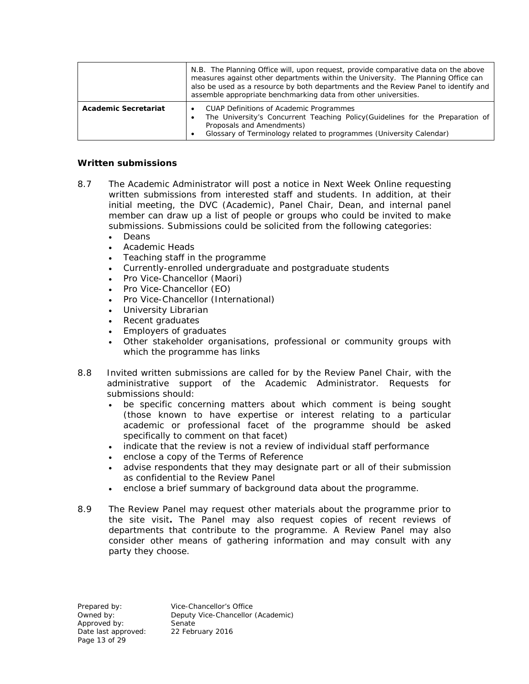|                             | N.B. The Planning Office will, upon request, provide comparative data on the above<br>measures against other departments within the University. The Planning Office can<br>also be used as a resource by both departments and the Review Panel to identify and<br>assemble appropriate benchmarking data from other universities. |  |
|-----------------------------|-----------------------------------------------------------------------------------------------------------------------------------------------------------------------------------------------------------------------------------------------------------------------------------------------------------------------------------|--|
| <b>Academic Secretariat</b> | <b>CUAP Definitions of Academic Programmes</b><br>The University's Concurrent Teaching Policy (Guidelines for the Preparation of<br>$\bullet$<br>Proposals and Amendments)<br>Glossary of Terminology related to programmes (University Calendar)                                                                                 |  |

### *Written submissions*

- 8.7 The Academic Administrator will post a notice in *Next Week Online* requesting written submissions from interested staff and students. In addition, at their initial meeting, the DVC (Academic), Panel Chair, Dean, and internal panel member can draw up a list of people or groups who could be invited to make submissions. Submissions could be solicited from the following categories:
	- Deans
	- Academic Heads
	- Teaching staff in the programme
	- Currently-enrolled undergraduate and postgraduate students
	- Pro Vice-Chancellor (Maori)
	- Pro Vice-Chancellor (EO)
	- Pro Vice-Chancellor (International)
	- University Librarian
	- Recent graduates
	- Employers of graduates
	- Other stakeholder organisations, professional or community groups with which the programme has links
- 8.8 Invited written submissions are called for by the Review Panel Chair, with the administrative support of the Academic Administrator. Requests for submissions should:
	- be specific concerning matters about which comment is being sought (those known to have expertise or interest relating to a particular academic or professional facet of the programme should be asked specifically to comment on that facet)
	- indicate that the review is not a review of individual staff performance
	- enclose a copy of the Terms of Reference
	- advise respondents that they may designate part or all of their submission as confidential to the Review Panel
	- enclose a brief summary of background data about the programme.
- 8.9 The Review Panel may request other materials about the programme prior to the site visit**.** The Panel may also request copies of recent reviews of departments that contribute to the programme. A Review Panel may also consider other means of gathering information and may consult with any party they choose.

Approved by:<br>
Date last approved: 
22 February 2016 Date last approved: Page 13 of 29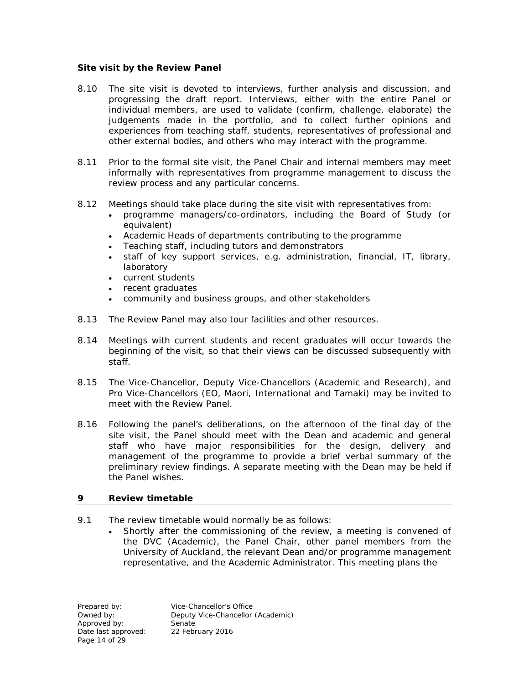## *Site visit by the Review Panel*

- 8.10 The site visit is devoted to interviews, further analysis and discussion, and progressing the draft report. Interviews, either with the entire Panel or individual members, are used to validate (confirm, challenge, elaborate) the judgements made in the portfolio, and to collect further opinions and experiences from teaching staff, students, representatives of professional and other external bodies, and others who may interact with the programme.
- 8.11 Prior to the formal site visit, the Panel Chair and internal members may meet informally with representatives from programme management to discuss the review process and any particular concerns.
- 8.12 Meetings should take place during the site visit with representatives from:
	- programme managers/co-ordinators, including the Board of Study (or equivalent)
	- Academic Heads of departments contributing to the programme
	- Teaching staff, including tutors and demonstrators
	- staff of key support services, e.g. administration, financial, IT, library, laboratory
	- current students
	- recent graduates
	- community and business groups, and other stakeholders
- 8.13 The Review Panel may also tour facilities and other resources.
- 8.14 Meetings with current students and recent graduates will occur towards the beginning of the visit, so that their views can be discussed subsequently with staff.
- 8.15 The Vice-Chancellor, Deputy Vice-Chancellors (Academic and Research), and Pro Vice-Chancellors (EO, Maori, International and Tamaki) may be invited to meet with the Review Panel.
- 8.16 Following the panel's deliberations, on the afternoon of the final day of the site visit, the Panel should meet with the Dean and academic and general staff who have major responsibilities for the design, delivery and management of the programme to provide a brief verbal summary of the preliminary review findings. A separate meeting with the Dean may be held if the Panel wishes.

## **9 Review timetable**

- 9.1 The review timetable would normally be as follows:
	- Shortly after the commissioning of the review, a meeting is convened of the DVC (Academic), the Panel Chair, other panel members from the University of Auckland, the relevant Dean and/or programme management representative, and the Academic Administrator. This meeting plans the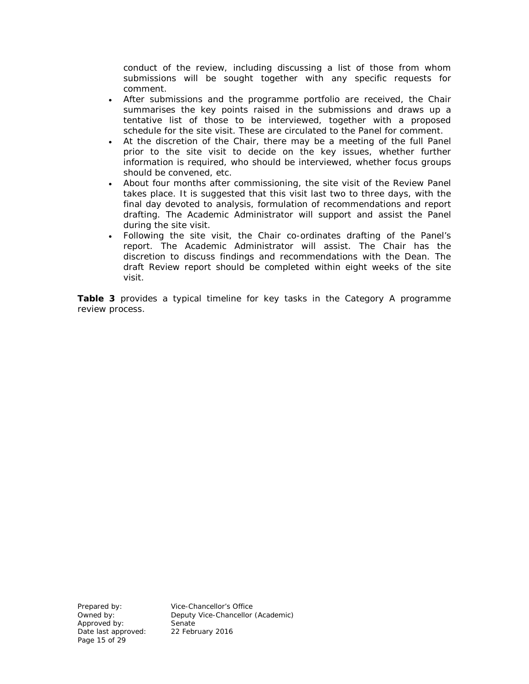conduct of the review, including discussing a list of those from whom submissions will be sought together with any specific requests for comment.

- After submissions and the programme portfolio are received, the Chair summarises the key points raised in the submissions and draws up a tentative list of those to be interviewed, together with a proposed schedule for the site visit. These are circulated to the Panel for comment.
- At the discretion of the Chair, there may be a meeting of the full Panel prior to the site visit to decide on the key issues, whether further information is required, who should be interviewed, whether focus groups should be convened, etc.
- About four months after commissioning, the site visit of the Review Panel takes place. It is suggested that this visit last two to three days, with the final day devoted to analysis, formulation of recommendations and report drafting. The Academic Administrator will support and assist the Panel during the site visit.
- Following the site visit, the Chair co-ordinates drafting of the Panel's report. The Academic Administrator will assist. The Chair has the discretion to discuss findings and recommendations with the Dean. The draft Review report should be completed within eight weeks of the site visit.

**Table 3** provides a typical timeline for key tasks in the Category A programme review process.

Approved by:<br>
Date last approved: 
22 February 2016 Date last approved: Page 15 of 29

Prepared by: Vice-Chancellor's Office Owned by: <br> **Owned by:** Deputy Vice-Chancellor (Academic)<br>
Senate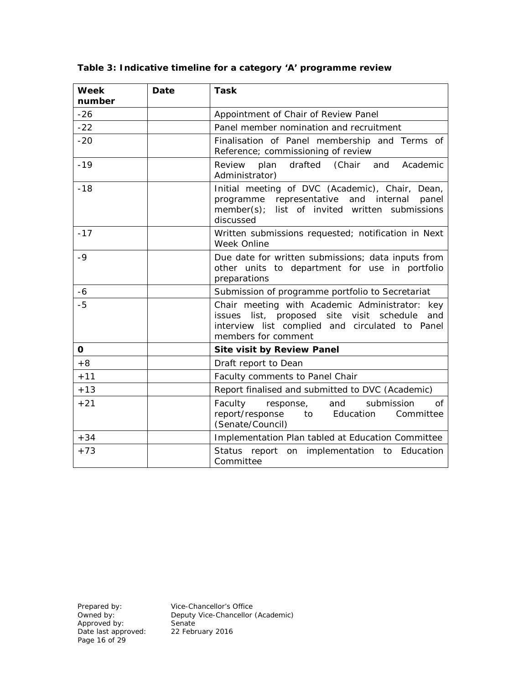| <b>Week</b><br>number | Date | Task                                                                                                                                                                               |
|-----------------------|------|------------------------------------------------------------------------------------------------------------------------------------------------------------------------------------|
| $-26$                 |      | Appointment of Chair of Review Panel                                                                                                                                               |
| $-22$                 |      | Panel member nomination and recruitment                                                                                                                                            |
| $-20$                 |      | Finalisation of Panel membership and Terms of<br>Reference; commissioning of review                                                                                                |
| $-19$                 |      | drafted<br>(Chair and<br>Review<br>plan<br>Academic<br>Administrator)                                                                                                              |
| $-18$                 |      | Initial meeting of DVC (Academic), Chair, Dean,<br>representative and internal panel<br>programme<br>list of invited written submissions<br>member(s);<br>discussed                |
| $-17$                 |      | Written submissions requested; notification in Next<br>Week Online                                                                                                                 |
| $-9$                  |      | Due date for written submissions; data inputs from<br>other units to department for use in portfolio<br>preparations                                                               |
| $-6$                  |      | Submission of programme portfolio to Secretariat                                                                                                                                   |
| $-5$                  |      | Chair meeting with Academic Administrator:<br>key<br>issues list, proposed site visit<br>schedule<br>and<br>interview list complied and circulated to Panel<br>members for comment |
| 0                     |      | <b>Site visit by Review Panel</b>                                                                                                                                                  |
| $+8$                  |      | Draft report to Dean                                                                                                                                                               |
| $+11$                 |      | Faculty comments to Panel Chair                                                                                                                                                    |
| $+13$                 |      | Report finalised and submitted to DVC (Academic)                                                                                                                                   |
| $+21$                 |      | Faculty<br>response,<br>and<br>submission<br>Οf<br>report/response to<br>Education<br>Committee<br>(Senate/Council)                                                                |
| $+34$                 |      | Implementation Plan tabled at Education Committee                                                                                                                                  |
| $+73$                 |      | Status report on implementation to Education<br>Committee                                                                                                                          |

**Table 3: Indicative timeline for a category 'A' programme review**

Prepared by: Vice-Chancellor's Office Owned by: Deputy Vice-Chancellor (Academic)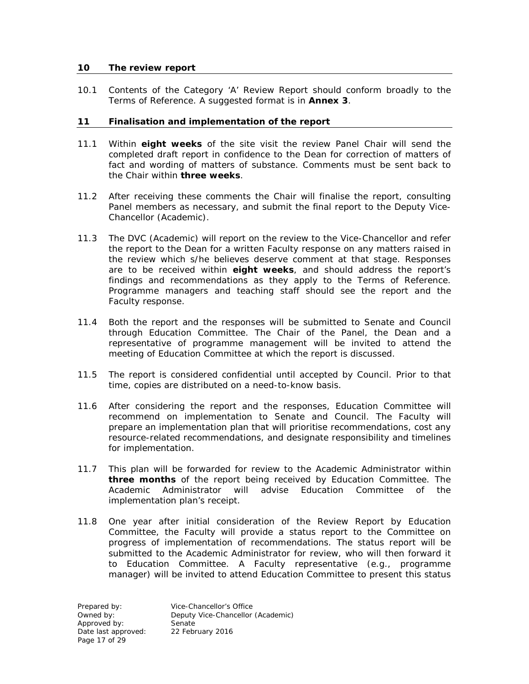#### **10 The review report**

10.1 Contents of the Category 'A' Review Report should conform broadly to the Terms of Reference. A suggested format is in **Annex 3**.

### **11 Finalisation and implementation of the report**

- 11.1 Within **eight weeks** of the site visit the review Panel Chair will send the completed draft report in confidence to the Dean for correction of matters of fact and wording of matters of substance. Comments must be sent back to the Chair within **three weeks**.
- 11.2 After receiving these comments the Chair will finalise the report, consulting Panel members as necessary, and submit the final report to the Deputy Vice-Chancellor (Academic).
- 11.3 The DVC (Academic) will report on the review to the Vice-Chancellor and refer the report to the Dean for a written Faculty response on any matters raised in the review which s/he believes deserve comment at that stage. Responses are to be received within **eight weeks**, and should address the report's findings and recommendations as they apply to the Terms of Reference. Programme managers and teaching staff should see the report and the Faculty response.
- 11.4 Both the report and the responses will be submitted to Senate and Council through Education Committee. The Chair of the Panel, the Dean and a representative of programme management will be invited to attend the meeting of Education Committee at which the report is discussed.
- 11.5 The report is considered confidential until accepted by Council. Prior to that time, copies are distributed on a need-to-know basis.
- 11.6 After considering the report and the responses, Education Committee will recommend on implementation to Senate and Council. The Faculty will prepare an implementation plan that will prioritise recommendations, cost any resource-related recommendations, and designate responsibility and timelines for implementation.
- 11.7 This plan will be forwarded for review to the Academic Administrator within **three months** of the report being received by Education Committee. The Academic Administrator will advise Education Committee of the implementation plan's receipt.
- 11.8 One year after initial consideration of the Review Report by Education Committee, the Faculty will provide a status report to the Committee on progress of implementation of recommendations. The status report will be submitted to the Academic Administrator for review, who will then forward it to Education Committee. A Faculty representative (e.g., programme manager) will be invited to attend Education Committee to present this status

Approved by: Senate Date last approved: Page 17 of 29

Prepared by: <br>
Deputy Vice-Chancellor<br>
Deputy Vice-Chancellor Deputy Vice-Chancellor (Academic)<br>Senate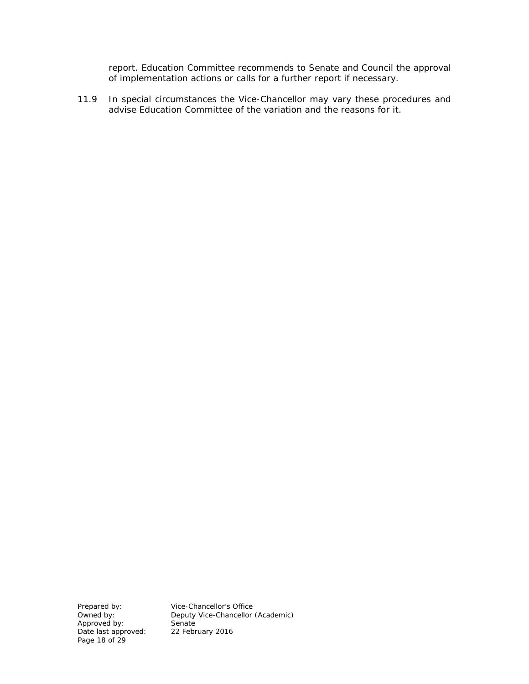report. Education Committee recommends to Senate and Council the approval of implementation actions or calls for a further report if necessary.

11.9 In special circumstances the Vice-Chancellor may vary these procedures and advise Education Committee of the variation and the reasons for it.

Approved by:<br>
Date last approved: 22 February 2016 Date last approved: 22 February 2016 Page 18 of 29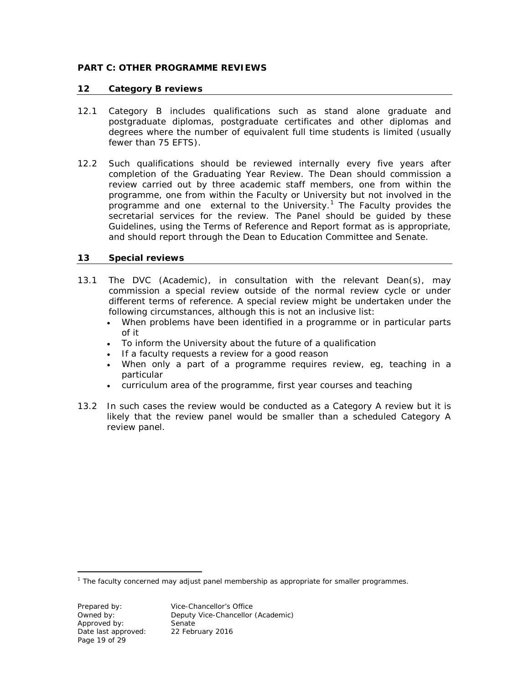## **PART C: OTHER PROGRAMME REVIEWS**

#### **12 Category B reviews**

- 12.1 Category B includes qualifications such as stand alone graduate and postgraduate diplomas, postgraduate certificates and other diplomas and degrees where the number of equivalent full time students is limited (usually fewer than 75 EFTS).
- 12.2 Such qualifications should be reviewed internally every five years after completion of the Graduating Year Review. The Dean should commission a review carried out by three academic staff members, one from within the programme, one from within the Faculty or University but not involved in the programme and one external to the University.<sup>[1](#page-13-0)</sup> The Faculty provides the secretarial services for the review. The Panel should be guided by these Guidelines, using the Terms of Reference and Report format as is appropriate, and should report through the Dean to Education Committee and Senate.

### **13 Special reviews**

- 13.1 The DVC (Academic), in consultation with the relevant Dean(s), may commission a special review outside of the normal review cycle or under different terms of reference. A special review might be undertaken under the following circumstances, although this is not an inclusive list:
	- When problems have been identified in a programme or in particular parts of it
	- To inform the University about the future of a qualification
	- If a faculty requests a review for a good reason
	- When only a part of a programme requires review, eg, teaching in a particular
	- curriculum area of the programme, first year courses and teaching
- 13.2 In such cases the review would be conducted as a Category A review but it is likely that the review panel would be smaller than a scheduled Category A review panel.

<span id="page-13-0"></span><sup>1</sup> The faculty concerned may adjust panel membership as appropriate for smaller programmes.

 $\overline{a}$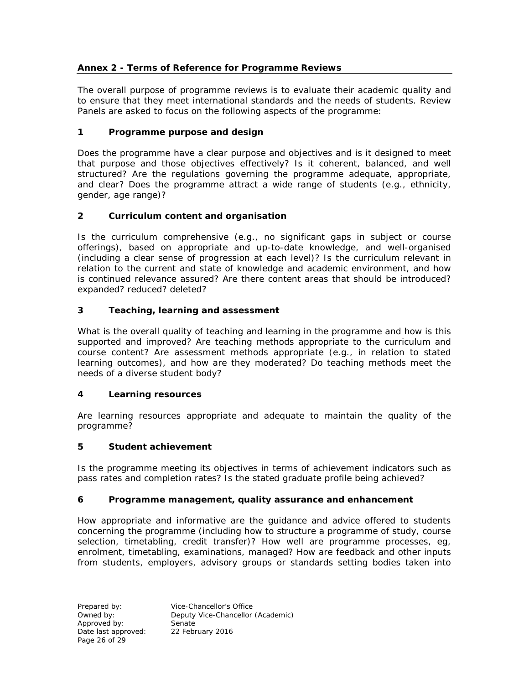## **Annex 2 - Terms of Reference for Programme Reviews**

The overall purpose of programme reviews is to evaluate their academic quality and to ensure that they meet international standards and the needs of students. Review Panels are asked to focus on the following aspects of the programme:

# **1 Programme purpose and design**

Does the programme have a clear purpose and objectives and is it designed to meet that purpose and those objectives effectively? Is it coherent, balanced, and well structured? Are the regulations governing the programme adequate, appropriate, and clear? Does the programme attract a wide range of students (e.g., ethnicity, gender, age range)?

# **2 Curriculum content and organisation**

Is the curriculum comprehensive (e.g., no significant gaps in subject or course offerings), based on appropriate and up-to-date knowledge, and well-organised (including a clear sense of progression at each level)? Is the curriculum relevant in relation to the current and state of knowledge and academic environment, and how is continued relevance assured? Are there content areas that should be introduced? expanded? reduced? deleted?

# **3 Teaching, learning and assessment**

What is the overall quality of teaching and learning in the programme and how is this supported and improved? Are teaching methods appropriate to the curriculum and course content? Are assessment methods appropriate (e.g., in relation to stated learning outcomes), and how are they moderated? Do teaching methods meet the needs of a diverse student body?

## **4 Learning resources**

Are learning resources appropriate and adequate to maintain the quality of the programme?

## **5 Student achievement**

Is the programme meeting its objectives in terms of achievement indicators such as pass rates and completion rates? Is the stated graduate profile being achieved?

## **6 Programme management, quality assurance and enhancement**

How appropriate and informative are the guidance and advice offered to students concerning the programme (including how to structure a programme of study, course selection, timetabling, credit transfer)? How well are programme processes, eg, enrolment, timetabling, examinations, managed? How are feedback and other inputs from students, employers, advisory groups or standards setting bodies taken into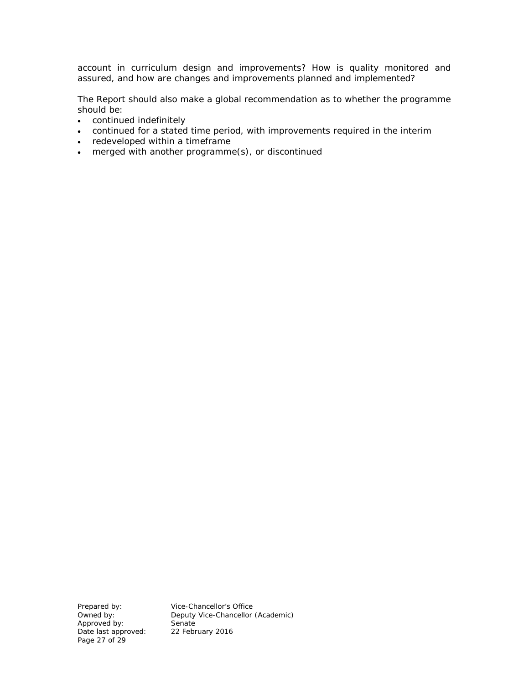account in curriculum design and improvements? How is quality monitored and assured, and how are changes and improvements planned and implemented?

The Report should also make a global recommendation as to whether the programme should be:

- continued indefinitely
- continued for a stated time period, with improvements required in the interim
- redeveloped within a timeframe
- merged with another programme(s), or discontinued

Approved by: Senate<br>
Date last approved: 22 February 2016 Date last approved: Page 27 of 29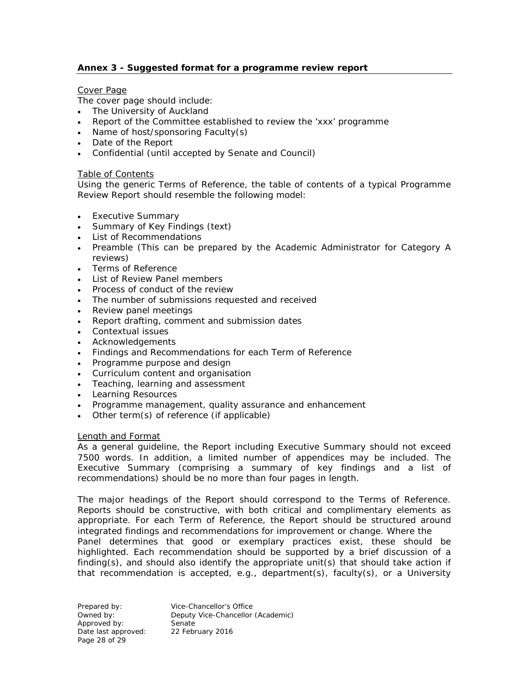## **Annex 3 - Suggested format for a programme review report**

### Cover Page

The cover page should include:

- The University of Auckland
- Report of the Committee established to review the 'xxx' programme
- Name of host/sponsoring Faculty(s)
- Date of the Report
- Confidential (until accepted by Senate and Council)

### Table of Contents

Using the generic Terms of Reference, the table of contents of a typical Programme Review Report should resemble the following model:

- Executive Summary
- Summary of Key Findings (text)
- List of Recommendations
- Preamble (This can be prepared by the Academic Administrator for Category A reviews)
- Terms of Reference
- List of Review Panel members
- Process of conduct of the review
- The number of submissions requested and received
- Review panel meetings
- Report drafting, comment and submission dates
- Contextual issues
- Acknowledgements
- Findings and Recommendations for each Term of Reference
- Programme purpose and design
- Curriculum content and organisation
- Teaching, learning and assessment
- Learning Resources
- Programme management, quality assurance and enhancement
- Other term(s) of reference (if applicable)

#### Length and Format

As a general guideline, the Report including Executive Summary should not exceed 7500 words. In addition, a limited number of appendices may be included. The Executive Summary (comprising a summary of key findings and a list of recommendations) should be no more than four pages in length.

The major headings of the Report should correspond to the Terms of Reference. Reports should be constructive, with both critical and complimentary elements as appropriate. For each Term of Reference, the Report should be structured around integrated findings and recommendations for improvement or change. Where the Panel determines that good or exemplary practices exist, these should be highlighted. Each recommendation should be supported by a brief discussion of a finding(s), and should also identify the appropriate unit(s) that should take action if that recommendation is accepted, e.g., department(s), faculty(s), or a University

Prepared by: Vice-Chancellor's Office Owned by: Deputy Vice-Chancellor (Academic)